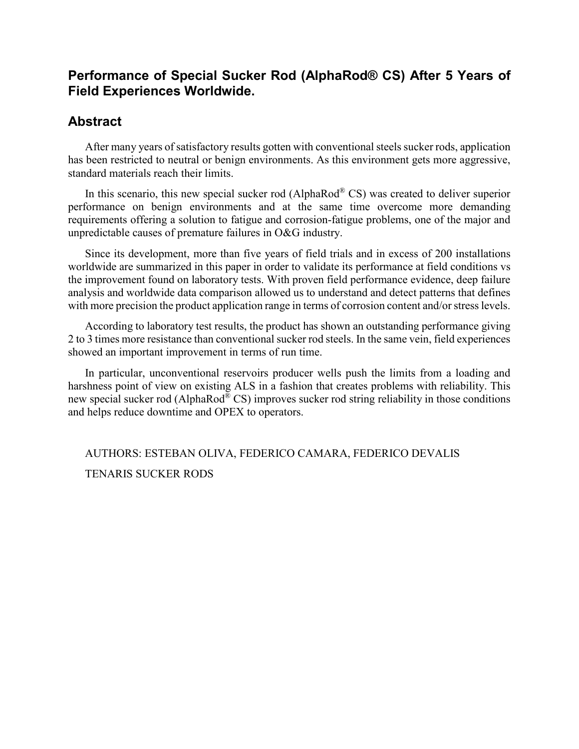# **Performance of Special Sucker Rod (AlphaRod® CS) After 5 Years of Field Experiences Worldwide.**

# **Abstract**

After many years of satisfactory results gotten with conventional steels sucker rods, application has been restricted to neutral or benign environments. As this environment gets more aggressive, standard materials reach their limits.

In this scenario, this new special sucker rod (AlphaRod® CS) was created to deliver superior performance on benign environments and at the same time overcome more demanding requirements offering a solution to fatigue and corrosion-fatigue problems, one of the major and unpredictable causes of premature failures in O&G industry.

Since its development, more than five years of field trials and in excess of 200 installations worldwide are summarized in this paper in order to validate its performance at field conditions vs the improvement found on laboratory tests. With proven field performance evidence, deep failure analysis and worldwide data comparison allowed us to understand and detect patterns that defines with more precision the product application range in terms of corrosion content and/or stress levels.

According to laboratory test results, the product has shown an outstanding performance giving 2 to 3 times more resistance than conventional sucker rod steels. In the same vein, field experiences showed an important improvement in terms of run time.

In particular, unconventional reservoirs producer wells push the limits from a loading and harshness point of view on existing ALS in a fashion that creates problems with reliability. This new special sucker rod (AlphaRod® CS) improves sucker rod string reliability in those conditions and helps reduce downtime and OPEX to operators.

AUTHORS: ESTEBAN OLIVA, FEDERICO CAMARA, FEDERICO DEVALIS TENARIS SUCKER RODS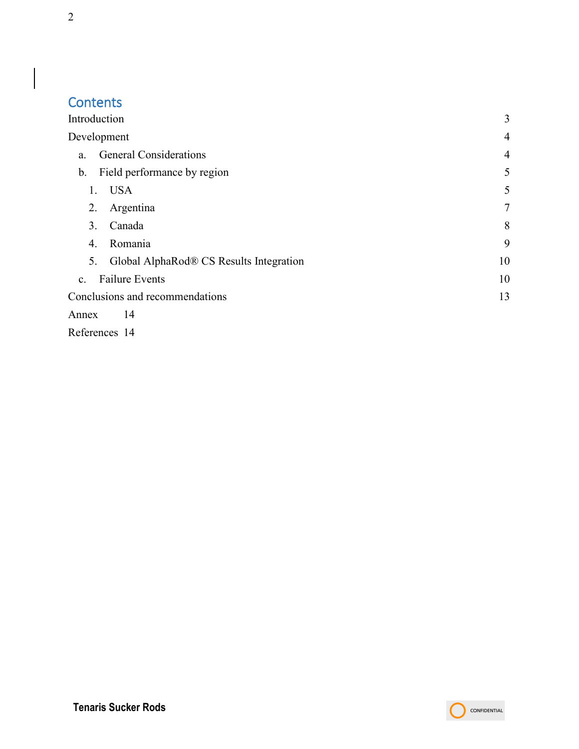# **Contents**

| Introduction                                  | 3              |
|-----------------------------------------------|----------------|
| Development                                   | 4              |
| <b>General Considerations</b><br>a.           | $\overline{4}$ |
| Field performance by region<br>b.             | 5              |
| <b>USA</b><br>1.                              | 5              |
| 2.<br>Argentina                               | $\overline{7}$ |
| Canada<br>3.                                  | 8              |
| Romania<br>4.                                 | 9              |
| Global AlphaRod® CS Results Integration<br>5. | 10             |
| <b>Failure Events</b><br>$\mathbf{C}$ .       | 10             |
| Conclusions and recommendations               | 13             |
| 14<br>Annex                                   |                |

[References](#page-13-1) 14

 $\overline{\phantom{a}}$ 

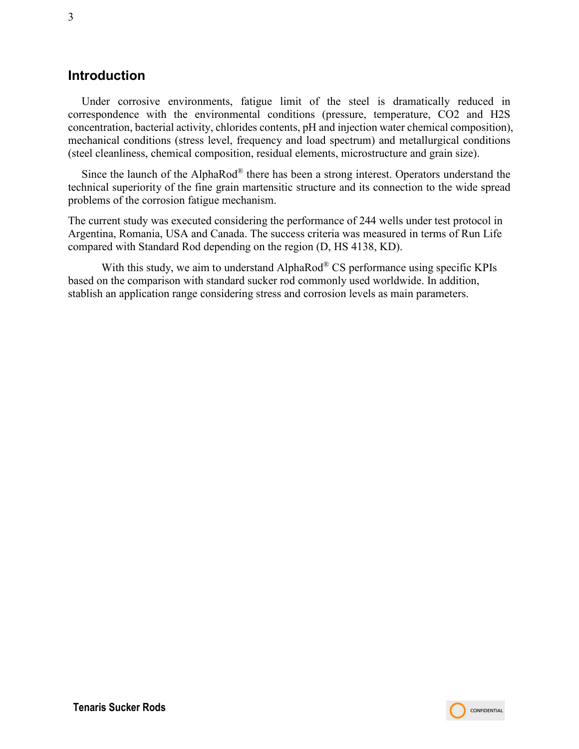## <span id="page-2-0"></span>**Introduction**

Under corrosive environments, fatigue limit of the steel is dramatically reduced in correspondence with the environmental conditions (pressure, temperature, CO2 and H2S concentration, bacterial activity, chlorides contents, pH and injection water chemical composition), mechanical conditions (stress level, frequency and load spectrum) and metallurgical conditions (steel cleanliness, chemical composition, residual elements, microstructure and grain size).

Since the launch of the AlphaRod® there has been a strong interest. Operators understand the technical superiority of the fine grain martensitic structure and its connection to the wide spread problems of the corrosion fatigue mechanism.

The current study was executed considering the performance of 244 wells under test protocol in Argentina, Romania, USA and Canada. The success criteria was measured in terms of Run Life compared with Standard Rod depending on the region (D, HS 4138, KD).

With this study, we aim to understand AlphaRod® CS performance using specific KPIs based on the comparison with standard sucker rod commonly used worldwide. In addition, stablish an application range considering stress and corrosion levels as main parameters.

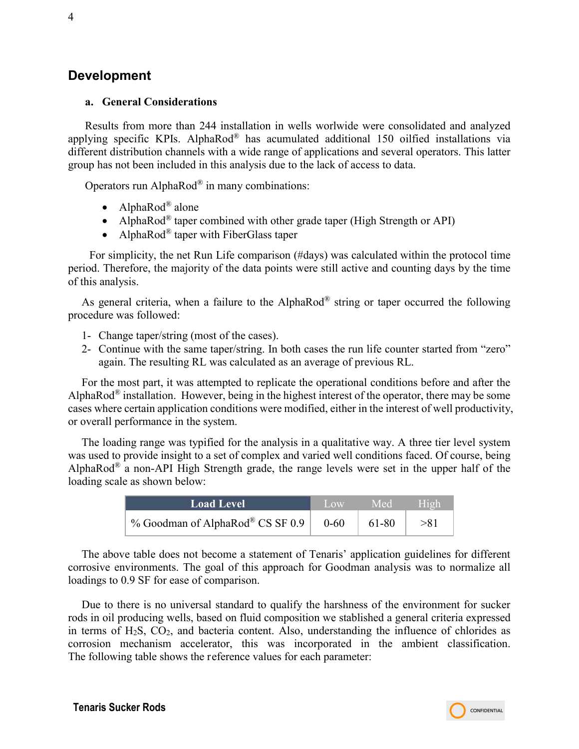## <span id="page-3-0"></span>**Development**

## <span id="page-3-1"></span>**a. General Considerations**

Results from more than 244 installation in wells worlwide were consolidated and analyzed applying specific KPIs. AlphaRod® has acumulated additional 150 oilfied installations via different distribution channels with a wide range of applications and several operators. This latter group has not been included in this analysis due to the lack of access to data.

Operators run Alpha $\text{Rod}^{\circledast}$  in many combinations:

- AlphaRod® alone
- AlphaRod<sup>®</sup> taper combined with other grade taper (High Strength or API)
- AlphaRod<sup>®</sup> taper with FiberGlass taper

For simplicity, the net Run Life comparison (#days) was calculated within the protocol time period. Therefore, the majority of the data points were still active and counting days by the time of this analysis.

As general criteria, when a failure to the AlphaRod<sup>®</sup> string or taper occurred the following procedure was followed:

- 1- Change taper/string (most of the cases).
- 2- Continue with the same taper/string. In both cases the run life counter started from "zero" again. The resulting RL was calculated as an average of previous RL.

For the most part, it was attempted to replicate the operational conditions before and after the AlphaRod<sup>®</sup> installation. However, being in the highest interest of the operator, there may be some cases where certain application conditions were modified, either in the interest of well productivity, or overall performance in the system.

The loading range was typified for the analysis in a qualitative way. A three tier level system was used to provide insight to a set of complex and varied well conditions faced. Of course, being AlphaRod® a non-API High Strength grade, the range levels were set in the upper half of the loading scale as shown below:

| <b>Load Level</b>                | $\Box$ $\alpha$ | 7 Med | - High |
|----------------------------------|-----------------|-------|--------|
| % Goodman of AlphaRod® CS SF 0.9 | $0 - 60$        | 61-80 | >81    |

The above table does not become a statement of Tenaris' application guidelines for different corrosive environments. The goal of this approach for Goodman analysis was to normalize all loadings to 0.9 SF for ease of comparison.

Due to there is no universal standard to qualify the harshness of the environment for sucker rods in oil producing wells, based on fluid composition we stablished a general criteria expressed in terms of  $H_2S$ ,  $CO_2$ , and bacteria content. Also, understanding the influence of chlorides as corrosion mechanism accelerator, this was incorporated in the ambient classification. The following table shows the reference values for each parameter:

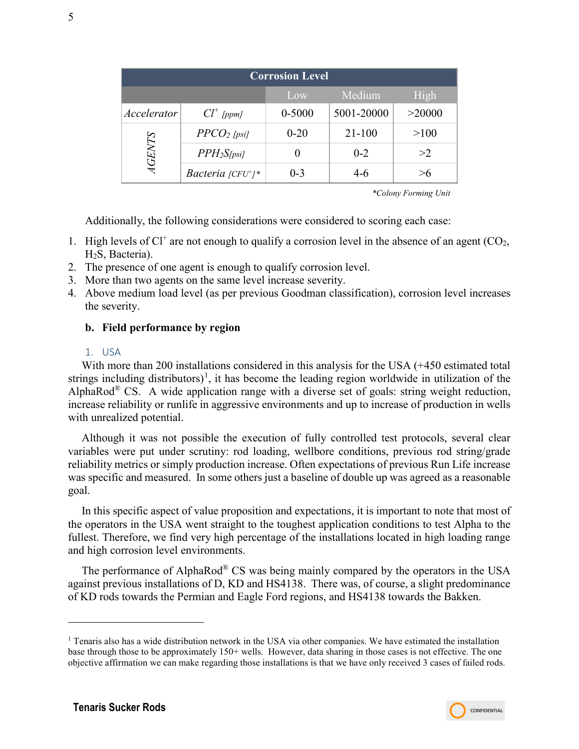| <b>Corrosion Level</b> |                              |            |            |        |  |
|------------------------|------------------------------|------------|------------|--------|--|
| Medium<br>High<br>Low  |                              |            |            |        |  |
| Accelerator            | $Cl^+$ [ppm]                 | $0 - 5000$ | 5001-20000 | >20000 |  |
|                        | $PPCO2$ [psi]                | $0 - 20$   | $21 - 100$ | >100   |  |
| <b>AGENTS</b>          | $PPH_2S_{\text{psil}}$       |            | $0 - 2$    | >2     |  |
|                        | Bacteria $\frac{[CFU^*]}{*}$ | $0 - 3$    | $4-6$      |        |  |

*\*Colony Forming Unit*

Additionally, the following considerations were considered to scoring each case:

- 1. High levels of  $Cl<sup>+</sup>$  are not enough to qualify a corrosion level in the absence of an agent (CO<sub>2</sub>, H2S, Bacteria).
- 2. The presence of one agent is enough to qualify corrosion level.
- 3. More than two agents on the same level increase severity.
- 4. Above medium load level (as per previous Goodman classification), corrosion level increases the severity.

## <span id="page-4-0"></span>**b. Field performance by region**

#### 1. USA

<span id="page-4-1"></span>With more than 200 installations considered in this analysis for the USA  $(+450$  estimated total strings including distributors)<sup>[1](#page-4-2)</sup>, it has become the leading region worldwide in utilization of the AlphaRod<sup>®</sup> CS. A wide application range with a diverse set of goals: string weight reduction, increase reliability or runlife in aggressive environments and up to increase of production in wells with unrealized potential.

Although it was not possible the execution of fully controlled test protocols, several clear variables were put under scrutiny: rod loading, wellbore conditions, previous rod string/grade reliability metrics or simply production increase. Often expectations of previous Run Life increase was specific and measured. In some others just a baseline of double up was agreed as a reasonable goal.

In this specific aspect of value proposition and expectations, it is important to note that most of the operators in the USA went straight to the toughest application conditions to test Alpha to the fullest. Therefore, we find very high percentage of the installations located in high loading range and high corrosion level environments.

The performance of AlphaRod<sup>®</sup> CS was being mainly compared by the operators in the USA against previous installations of D, KD and HS4138. There was, of course, a slight predominance of KD rods towards the Permian and Eagle Ford regions, and HS4138 towards the Bakken.



<span id="page-4-2"></span><sup>1</sup> Tenaris also has a wide distribution network in the USA via other companies. We have estimated the installation base through those to be approximately 150+ wells. However, data sharing in those cases is not effective. The one objective affirmation we can make regarding those installations is that we have only received 3 cases of failed rods.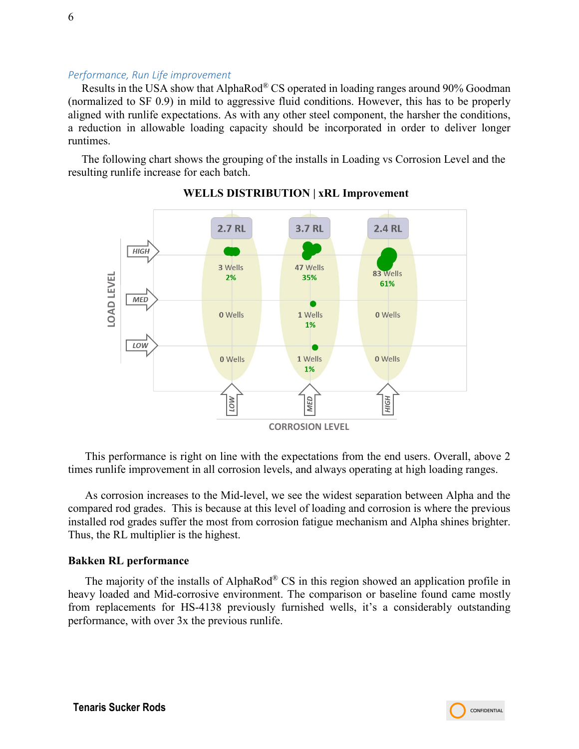#### *Performance, Run Life improvement*

Results in the USA show that AlphaRod® CS operated in loading ranges around 90% Goodman (normalized to SF 0.9) in mild to aggressive fluid conditions. However, this has to be properly aligned with runlife expectations. As with any other steel component, the harsher the conditions, a reduction in allowable loading capacity should be incorporated in order to deliver longer runtimes.

The following chart shows the grouping of the installs in Loading vs Corrosion Level and the resulting runlife increase for each batch.



**WELLS DISTRIBUTION | xRL Improvement**

This performance is right on line with the expectations from the end users. Overall, above 2 times runlife improvement in all corrosion levels, and always operating at high loading ranges.

As corrosion increases to the Mid-level, we see the widest separation between Alpha and the compared rod grades. This is because at this level of loading and corrosion is where the previous installed rod grades suffer the most from corrosion fatigue mechanism and Alpha shines brighter. Thus, the RL multiplier is the highest.

#### **Bakken RL performance**

The majority of the installs of AlphaRod<sup>®</sup> CS in this region showed an application profile in heavy loaded and Mid-corrosive environment. The comparison or baseline found came mostly from replacements for HS-4138 previously furnished wells, it's a considerably outstanding performance, with over 3x the previous runlife.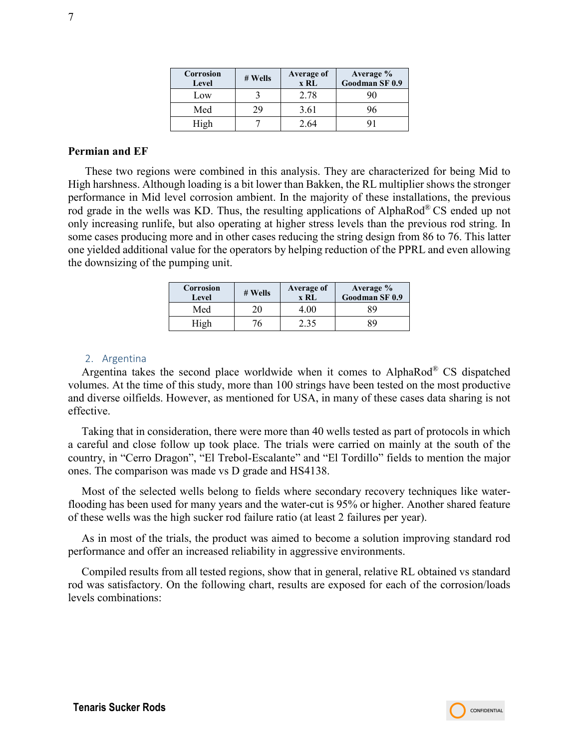| Corrosion<br>Level | # Wells | Average of<br>x RL | Average %<br>Goodman SF 0.9 |
|--------------------|---------|--------------------|-----------------------------|
| Low                |         | 2.78               | 90                          |
| Med                | 29      | 3.61               |                             |
| High               |         | 2.64               |                             |

#### **Permian and EF**

These two regions were combined in this analysis. They are characterized for being Mid to High harshness. Although loading is a bit lower than Bakken, the RL multiplier shows the stronger performance in Mid level corrosion ambient. In the majority of these installations, the previous rod grade in the wells was KD. Thus, the resulting applications of AlphaRod® CS ended up not only increasing runlife, but also operating at higher stress levels than the previous rod string. In some cases producing more and in other cases reducing the string design from 86 to 76. This latter one yielded additional value for the operators by helping reduction of the PPRL and even allowing the downsizing of the pumping unit.

| Corrosion<br>Level | # Wells | Average of<br>x RL | Average %<br>Goodman SF 0.9 |
|--------------------|---------|--------------------|-----------------------------|
| Med                |         | I.OO               | 89                          |
|                    |         | 2.35               | 89                          |

#### 2. Argentina

<span id="page-6-0"></span>Argentina takes the second place worldwide when it comes to AlphaRod® CS dispatched volumes. At the time of this study, more than 100 strings have been tested on the most productive and diverse oilfields. However, as mentioned for USA, in many of these cases data sharing is not effective.

Taking that in consideration, there were more than 40 wells tested as part of protocols in which a careful and close follow up took place. The trials were carried on mainly at the south of the country, in "Cerro Dragon", "El Trebol-Escalante" and "El Tordillo" fields to mention the major ones. The comparison was made vs D grade and HS4138.

Most of the selected wells belong to fields where secondary recovery techniques like waterflooding has been used for many years and the water-cut is 95% or higher. Another shared feature of these wells was the high sucker rod failure ratio (at least 2 failures per year).

As in most of the trials, the product was aimed to become a solution improving standard rod performance and offer an increased reliability in aggressive environments.

Compiled results from all tested regions, show that in general, relative RL obtained vs standard rod was satisfactory. On the following chart, results are exposed for each of the corrosion/loads levels combinations: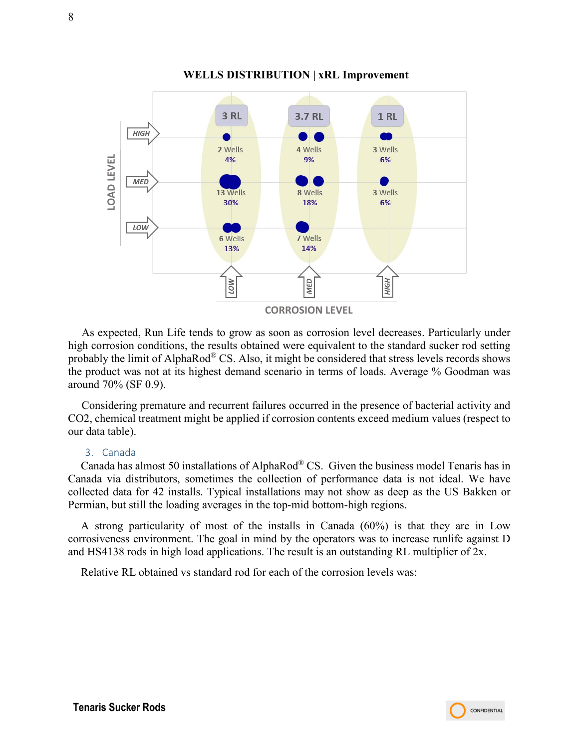

#### **WELLS DISTRIBUTION | xRL Improvement**

As expected, Run Life tends to grow as soon as corrosion level decreases. Particularly under high corrosion conditions, the results obtained were equivalent to the standard sucker rod setting probably the limit of AlphaRod® CS. Also, it might be considered that stress levels records shows the product was not at its highest demand scenario in terms of loads. Average % Goodman was around 70% (SF 0.9).

Considering premature and recurrent failures occurred in the presence of bacterial activity and CO2, chemical treatment might be applied if corrosion contents exceed medium values (respect to our data table).

#### 3. Canada

<span id="page-7-0"></span>Canada has almost 50 installations of AlphaRod® CS. Given the business model Tenaris has in Canada via distributors, sometimes the collection of performance data is not ideal. We have collected data for 42 installs. Typical installations may not show as deep as the US Bakken or Permian, but still the loading averages in the top-mid bottom-high regions.

A strong particularity of most of the installs in Canada (60%) is that they are in Low corrosiveness environment. The goal in mind by the operators was to increase runlife against D and HS4138 rods in high load applications. The result is an outstanding RL multiplier of 2x.

Relative RL obtained vs standard rod for each of the corrosion levels was: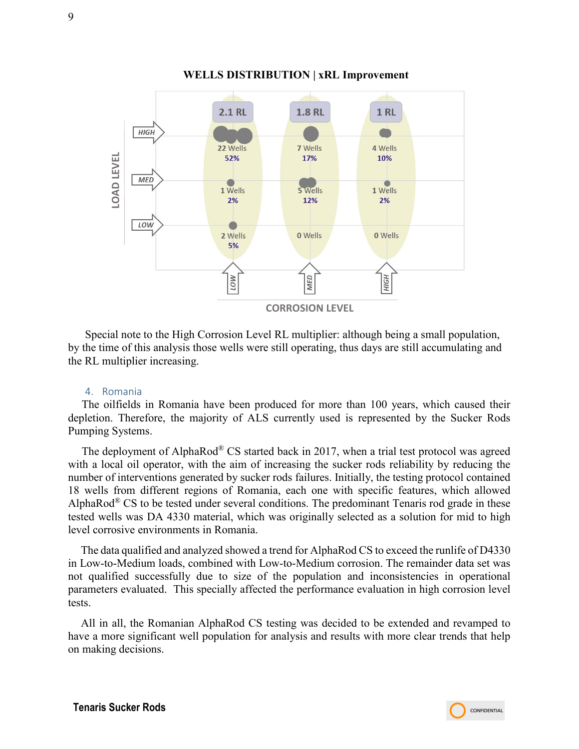

#### **WELLS DISTRIBUTION | xRL Improvement**

Special note to the High Corrosion Level RL multiplier: although being a small population, by the time of this analysis those wells were still operating, thus days are still accumulating and the RL multiplier increasing.

#### 4. Romania

<span id="page-8-0"></span>The oilfields in Romania have been produced for more than 100 years, which caused their depletion. Therefore, the majority of ALS currently used is represented by the Sucker Rods Pumping Systems.

The deployment of AlphaRod<sup>®</sup> CS started back in 2017, when a trial test protocol was agreed with a local oil operator, with the aim of increasing the sucker rods reliability by reducing the number of interventions generated by sucker rods failures. Initially, the testing protocol contained 18 wells from different regions of Romania, each one with specific features, which allowed AlphaRod<sup>®</sup> CS to be tested under several conditions. The predominant Tenaris rod grade in these tested wells was DA 4330 material, which was originally selected as a solution for mid to high level corrosive environments in Romania.

The data qualified and analyzed showed a trend for AlphaRod CS to exceed the runlife of D4330 in Low-to-Medium loads, combined with Low-to-Medium corrosion. The remainder data set was not qualified successfully due to size of the population and inconsistencies in operational parameters evaluated. This specially affected the performance evaluation in high corrosion level tests.

All in all, the Romanian AlphaRod CS testing was decided to be extended and revamped to have a more significant well population for analysis and results with more clear trends that help on making decisions.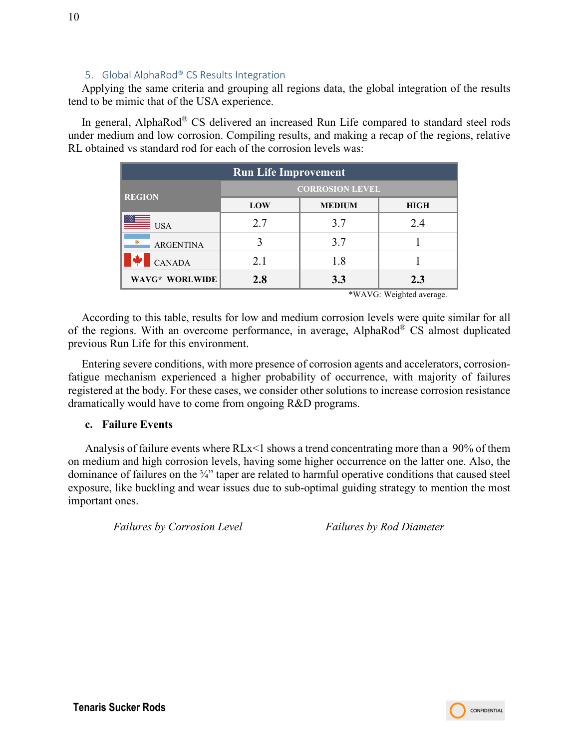## 5. Global AlphaRod® CS Results Integration

<span id="page-9-0"></span>Applying the same criteria and grouping all regions data, the global integration of the results tend to be mimic that of the USA experience.

In general, AlphaRod® CS delivered an increased Run Life compared to standard steel rods under medium and low corrosion. Compiling results, and making a recap of the regions, relative RL obtained vs standard rod for each of the corrosion levels was:

| <b>Run Life Improvement</b> |                                     |     |     |  |  |
|-----------------------------|-------------------------------------|-----|-----|--|--|
| <b>REGION</b>               | <b>CORROSION LEVEL</b>              |     |     |  |  |
|                             | LOW<br><b>MEDIUM</b><br><b>HIGH</b> |     |     |  |  |
| $\equiv$ USA                | 2.7                                 | 3.7 | 2.4 |  |  |
| <b>ARGENTINA</b>            |                                     | 3.7 |     |  |  |
| <b>CANADA</b>               | 2.1                                 | 1.8 |     |  |  |
| WAVG* WORLWIDE              | 2.8                                 | 3.3 | 2.3 |  |  |

\*WAVG: Weighted average.

According to this table, results for low and medium corrosion levels were quite similar for all of the regions. With an overcome performance, in average, AlphaRod® CS almost duplicated previous Run Life for this environment.

Entering severe conditions, with more presence of corrosion agents and accelerators, corrosionfatigue mechanism experienced a higher probability of occurrence, with majority of failures registered at the body. For these cases, we consider other solutions to increase corrosion resistance dramatically would have to come from ongoing R&D programs.

#### <span id="page-9-1"></span>**c. Failure Events**

Analysis of failure events where RLx<1 shows a trend concentrating more than a 90% of them on medium and high corrosion levels, having some higher occurrence on the latter one. Also, the dominance of failures on the 3/4" taper are related to harmful operative conditions that caused steel exposure, like buckling and wear issues due to sub-optimal guiding strategy to mention the most important ones.

*Failures by Corrosion Level* Failures by Rod Diameter

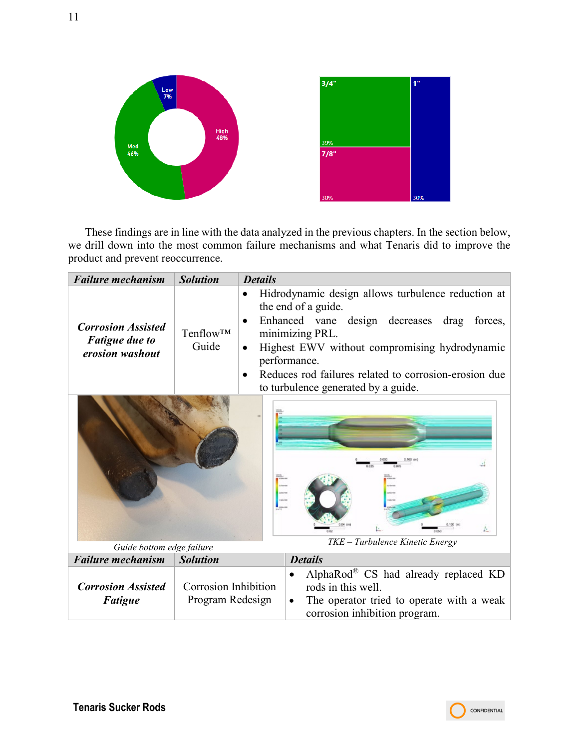

These findings are in line with the data analyzed in the previous chapters. In the section below, we drill down into the most common failure mechanisms and what Tenaris did to improve the product and prevent reoccurrence.

| <b>Failure mechanism</b>                                              | <b>Solution</b>                          | <b>Details</b>                                                                                                                                                                                                                                                                                                               |  |  |  |
|-----------------------------------------------------------------------|------------------------------------------|------------------------------------------------------------------------------------------------------------------------------------------------------------------------------------------------------------------------------------------------------------------------------------------------------------------------------|--|--|--|
| <b>Corrosion Assisted</b><br><b>Fatigue due to</b><br>erosion washout | Tenflow <sup>TM</sup><br>Guide           | Hidrodynamic design allows turbulence reduction at<br>the end of a guide.<br>Enhanced vane design decreases drag<br>forces,<br>minimizing PRL.<br>Highest EWV without compromising hydrodynamic<br>performance.<br>Reduces rod failures related to corrosion-erosion due<br>$\bullet$<br>to turbulence generated by a guide. |  |  |  |
| TKE - Turbulence Kinetic Energy                                       |                                          |                                                                                                                                                                                                                                                                                                                              |  |  |  |
| Guide bottom edge failure                                             |                                          |                                                                                                                                                                                                                                                                                                                              |  |  |  |
| <b>Failure mechanism</b>                                              | <b>Solution</b>                          | <b>Details</b>                                                                                                                                                                                                                                                                                                               |  |  |  |
| <b>Corrosion Assisted</b><br><b>Fatigue</b>                           | Corrosion Inhibition<br>Program Redesign | AlphaRod® CS had already replaced $KD$<br>rods in this well.<br>The operator tried to operate with a weak<br>٠<br>corrosion inhibition program.                                                                                                                                                                              |  |  |  |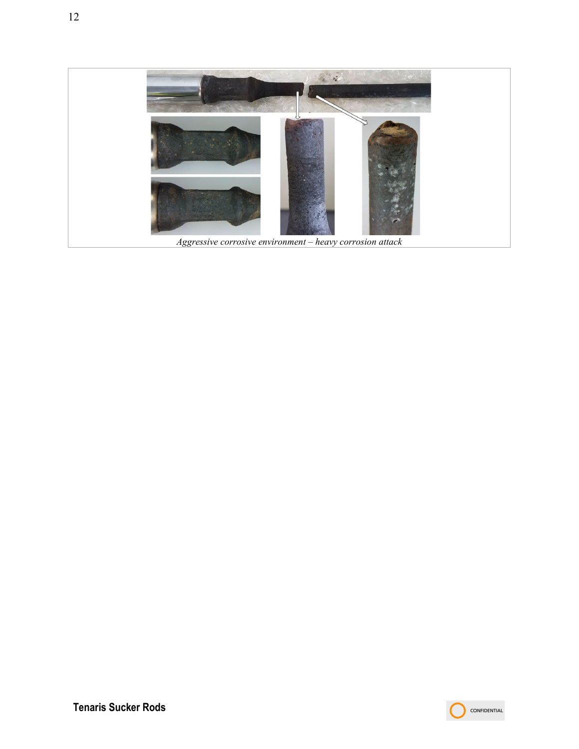

*Aggressive corrosive environment – heavy corrosion attack*

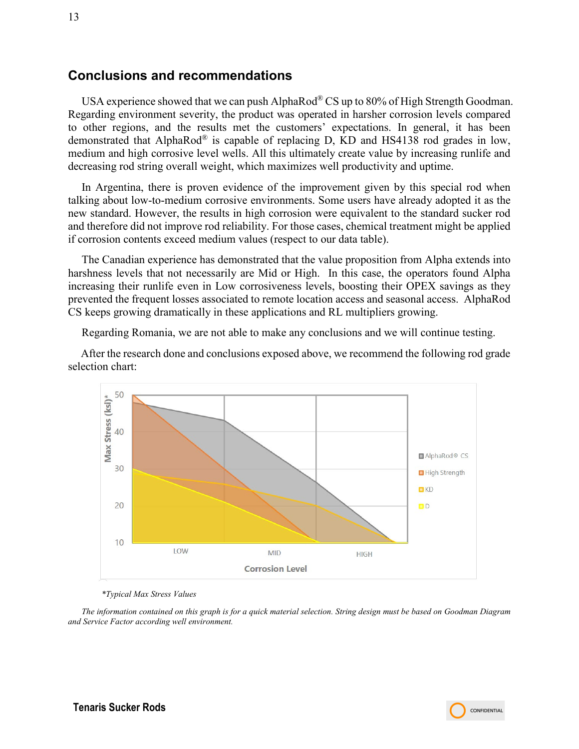## <span id="page-12-0"></span>**Conclusions and recommendations**

USA experience showed that we can push AlphaRod® CS up to 80% of High Strength Goodman. Regarding environment severity, the product was operated in harsher corrosion levels compared to other regions, and the results met the customers' expectations. In general, it has been demonstrated that AlphaRod® is capable of replacing D, KD and HS4138 rod grades in low, medium and high corrosive level wells. All this ultimately create value by increasing runlife and decreasing rod string overall weight, which maximizes well productivity and uptime.

In Argentina, there is proven evidence of the improvement given by this special rod when talking about low-to-medium corrosive environments. Some users have already adopted it as the new standard. However, the results in high corrosion were equivalent to the standard sucker rod and therefore did not improve rod reliability. For those cases, chemical treatment might be applied if corrosion contents exceed medium values (respect to our data table).

The Canadian experience has demonstrated that the value proposition from Alpha extends into harshness levels that not necessarily are Mid or High. In this case, the operators found Alpha increasing their runlife even in Low corrosiveness levels, boosting their OPEX savings as they prevented the frequent losses associated to remote location access and seasonal access. AlphaRod CS keeps growing dramatically in these applications and RL multipliers growing.

Regarding Romania, we are not able to make any conclusions and we will continue testing.

After the research done and conclusions exposed above, we recommend the following rod grade selection chart:



*\*Typical Max Stress Values*

*The information contained on this graph is for a quick material selection. String design must be based on Goodman Diagram and Service Factor according well environment.*